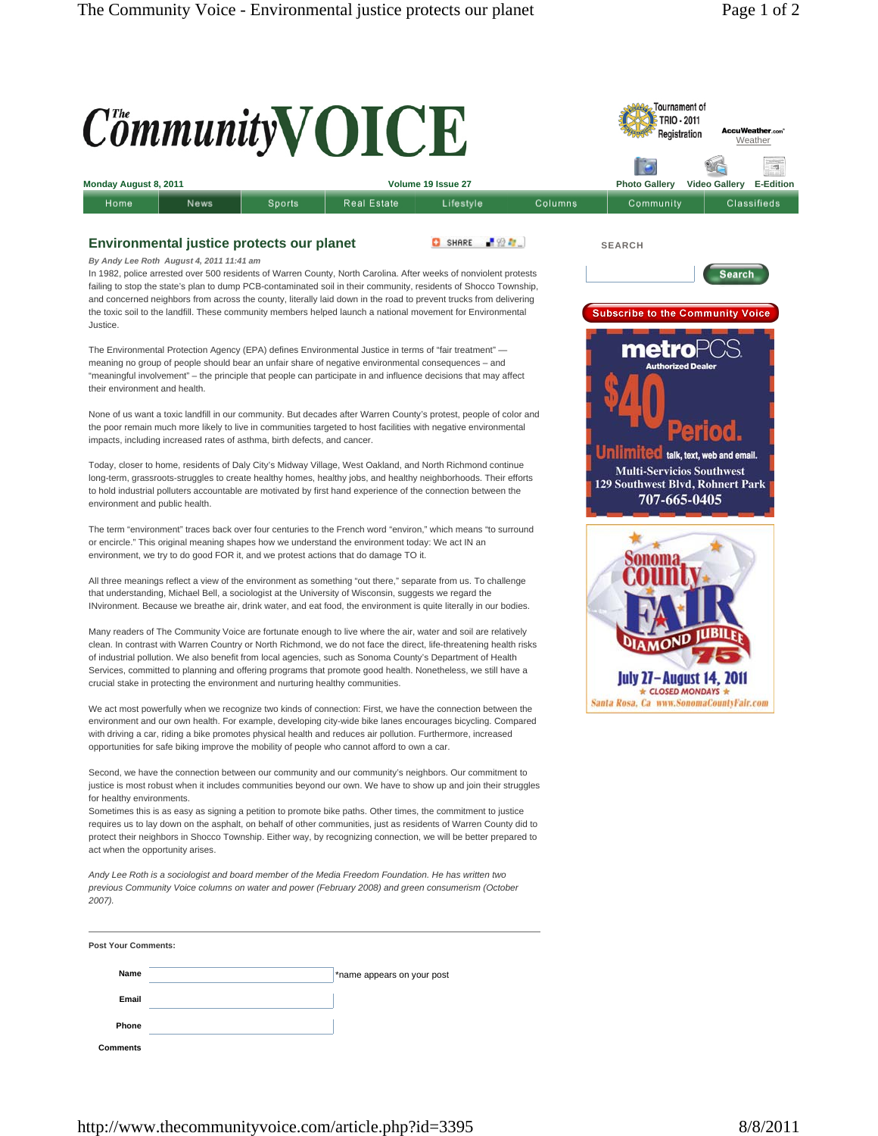